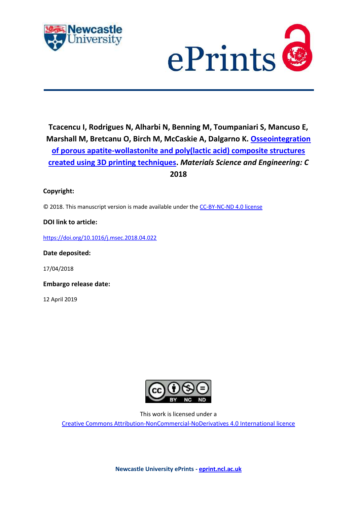



**Tcacencu I, Rodrigues N, Alharbi N, Benning M, Toumpaniari S, Mancuso E, Marshall M, Bretcanu O, Birch M, McCaskie A, Dalgarno K. [Osseointegration](https://myimpact.ncl.ac.uk/ViewPublication.aspx?id=247455)  [of porous apatite-wollastonite and poly\(lactic acid\) composite structures](https://myimpact.ncl.ac.uk/ViewPublication.aspx?id=247455)  [created using 3D printing techniques.](https://myimpact.ncl.ac.uk/ViewPublication.aspx?id=247455)** *Materials Science and Engineering: C* **2018**

## **Copyright:**

© 2018. This manuscript version is made available under the [CC-BY-NC-ND 4.0 license](http://creativecommons.org/licenses/by-nc-nd/4.0/)

### **DOI link to article:**

<https://doi.org/10.1016/j.msec.2018.04.022>

**Date deposited:** 

17/04/2018

**Embargo release date:**

12 April 2019



This work is licensed under a

[Creative Commons Attribution-NonCommercial-NoDerivatives 4.0 International licence](https://creativecommons.org/licenses/by-nc-nd/4.0/)

**Newcastle University ePrints - [eprint.ncl.ac.uk](http://eprint.ncl.ac.uk/)**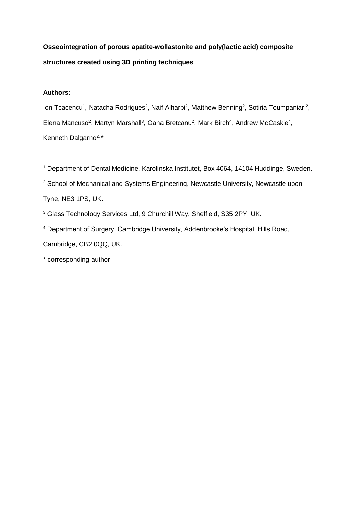**Osseointegration of porous apatite-wollastonite and poly(lactic acid) composite structures created using 3D printing techniques**

# **Authors:**

lon Tcacencu<sup>1</sup>, Natacha Rodrigues<sup>2</sup>, Naif Alharbi<sup>2</sup>, Matthew Benning<sup>2</sup>, Sotiria Toumpaniari<sup>2</sup>, Elena Mancuso<sup>2</sup>, Martyn Marshall<sup>3</sup>, Oana Bretcanu<sup>2</sup>, Mark Birch<sup>4</sup>, Andrew McCaskie<sup>4</sup>, Kenneth Dalgarno<sup>2,\*</sup>

<sup>1</sup> Department of Dental Medicine, Karolinska Institutet, Box 4064, 14104 Huddinge, Sweden.

<sup>2</sup> School of Mechanical and Systems Engineering, Newcastle University, Newcastle upon

Tyne, NE3 1PS, UK.

<sup>3</sup> Glass Technology Services Ltd, 9 Churchill Way, Sheffield, S35 2PY, UK.

<sup>4</sup> Department of Surgery, Cambridge University, Addenbrooke's Hospital, Hills Road, Cambridge, CB2 0QQ, UK.

\* corresponding author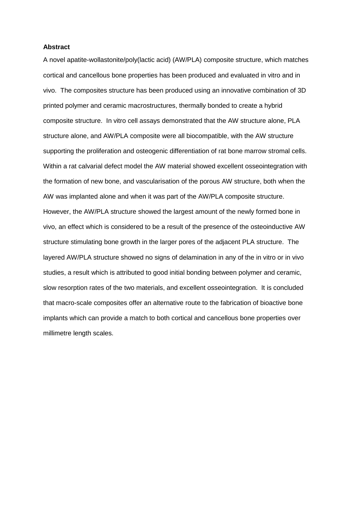#### **Abstract**

A novel apatite-wollastonite/poly(lactic acid) (AW/PLA) composite structure, which matches cortical and cancellous bone properties has been produced and evaluated in vitro and in vivo. The composites structure has been produced using an innovative combination of 3D printed polymer and ceramic macrostructures, thermally bonded to create a hybrid composite structure. In vitro cell assays demonstrated that the AW structure alone, PLA structure alone, and AW/PLA composite were all biocompatible, with the AW structure supporting the proliferation and osteogenic differentiation of rat bone marrow stromal cells. Within a rat calvarial defect model the AW material showed excellent osseointegration with the formation of new bone, and vascularisation of the porous AW structure, both when the AW was implanted alone and when it was part of the AW/PLA composite structure. However, the AW/PLA structure showed the largest amount of the newly formed bone in vivo, an effect which is considered to be a result of the presence of the osteoinductive AW structure stimulating bone growth in the larger pores of the adjacent PLA structure. The layered AW/PLA structure showed no signs of delamination in any of the in vitro or in vivo studies, a result which is attributed to good initial bonding between polymer and ceramic, slow resorption rates of the two materials, and excellent osseointegration. It is concluded that macro-scale composites offer an alternative route to the fabrication of bioactive bone implants which can provide a match to both cortical and cancellous bone properties over millimetre length scales.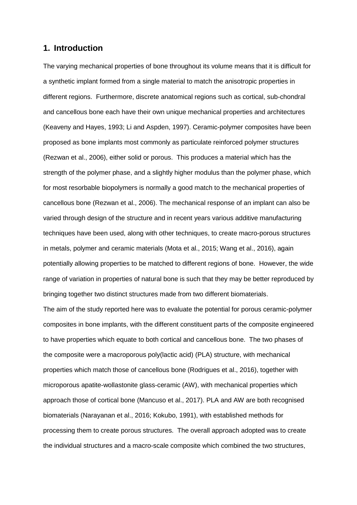# **1. Introduction**

The varying mechanical properties of bone throughout its volume means that it is difficult for a synthetic implant formed from a single material to match the anisotropic properties in different regions. Furthermore, discrete anatomical regions such as cortical, sub-chondral and cancellous bone each have their own unique mechanical properties and architectures (Keaveny and Hayes, 1993; Li and Aspden, 1997). Ceramic-polymer composites have been proposed as bone implants most commonly as particulate reinforced polymer structures (Rezwan et al., 2006), either solid or porous. This produces a material which has the strength of the polymer phase, and a slightly higher modulus than the polymer phase, which for most resorbable biopolymers is normally a good match to the mechanical properties of cancellous bone (Rezwan et al., 2006). The mechanical response of an implant can also be varied through design of the structure and in recent years various additive manufacturing techniques have been used, along with other techniques, to create macro-porous structures in metals, polymer and ceramic materials (Mota et al., 2015; Wang et al., 2016), again potentially allowing properties to be matched to different regions of bone. However, the wide range of variation in properties of natural bone is such that they may be better reproduced by bringing together two distinct structures made from two different biomaterials.

The aim of the study reported here was to evaluate the potential for porous ceramic-polymer composites in bone implants, with the different constituent parts of the composite engineered to have properties which equate to both cortical and cancellous bone. The two phases of the composite were a macroporous poly(lactic acid) (PLA) structure, with mechanical properties which match those of cancellous bone (Rodrigues et al., 2016), together with microporous apatite-wollastonite glass-ceramic (AW), with mechanical properties which approach those of cortical bone (Mancuso et al., 2017). PLA and AW are both recognised biomaterials (Narayanan et al., 2016; Kokubo, 1991), with established methods for processing them to create porous structures. The overall approach adopted was to create the individual structures and a macro-scale composite which combined the two structures,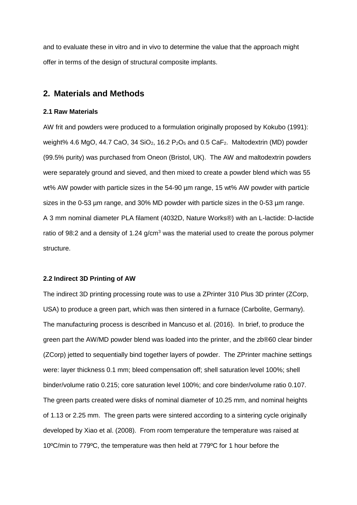and to evaluate these in vitro and in vivo to determine the value that the approach might offer in terms of the design of structural composite implants.

# **2. Materials and Methods**

### **2.1 Raw Materials**

AW frit and powders were produced to a formulation originally proposed by Kokubo (1991): weight% 4.6 MgO, 44.7 CaO, 34 SiO<sub>2</sub>, 16.2 P<sub>2</sub>O<sub>5</sub> and 0.5 CaF<sub>2</sub>. Maltodextrin (MD) powder (99.5% purity) was purchased from Oneon (Bristol, UK). The AW and maltodextrin powders were separately ground and sieved, and then mixed to create a powder blend which was 55 wt% AW powder with particle sizes in the 54-90 µm range, 15 wt% AW powder with particle sizes in the 0-53 µm range, and 30% MD powder with particle sizes in the 0-53 µm range. A 3 mm nominal diameter PLA filament (4032D, Nature Works®) with an L-lactide: D-lactide ratio of 98:2 and a density of 1.24  $q/cm<sup>3</sup>$  was the material used to create the porous polymer structure.

#### **2.2 Indirect 3D Printing of AW**

The indirect 3D printing processing route was to use a ZPrinter 310 Plus 3D printer (ZCorp, USA) to produce a green part, which was then sintered in a furnace (Carbolite, Germany). The manufacturing process is described in Mancuso et al. (2016). In brief, to produce the green part the AW/MD powder blend was loaded into the printer, and the zb®60 clear binder (ZCorp) jetted to sequentially bind together layers of powder. The ZPrinter machine settings were: layer thickness 0.1 mm; bleed compensation off; shell saturation level 100%; shell binder/volume ratio 0.215; core saturation level 100%; and core binder/volume ratio 0.107. The green parts created were disks of nominal diameter of 10.25 mm, and nominal heights of 1.13 or 2.25 mm. The green parts were sintered according to a sintering cycle originally developed by Xiao et al. (2008). From room temperature the temperature was raised at 10ºC/min to 779ºC, the temperature was then held at 779ºC for 1 hour before the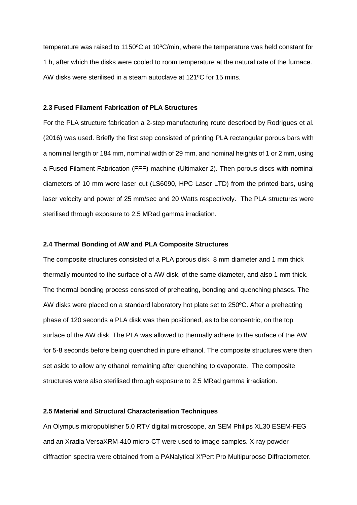temperature was raised to 1150ºC at 10ºC/min, where the temperature was held constant for 1 h, after which the disks were cooled to room temperature at the natural rate of the furnace. AW disks were sterilised in a steam autoclave at 121ºC for 15 mins.

#### **2.3 Fused Filament Fabrication of PLA Structures**

For the PLA structure fabrication a 2-step manufacturing route described by Rodrigues et al. (2016) was used. Briefly the first step consisted of printing PLA rectangular porous bars with a nominal length or 184 mm, nominal width of 29 mm, and nominal heights of 1 or 2 mm, using a Fused Filament Fabrication (FFF) machine (Ultimaker 2). Then porous discs with nominal diameters of 10 mm were laser cut (LS6090, HPC Laser LTD) from the printed bars, using laser velocity and power of 25 mm/sec and 20 Watts respectively. The PLA structures were sterilised through exposure to 2.5 MRad gamma irradiation.

#### **2.4 Thermal Bonding of AW and PLA Composite Structures**

The composite structures consisted of a PLA porous disk 8 mm diameter and 1 mm thick thermally mounted to the surface of a AW disk, of the same diameter, and also 1 mm thick. The thermal bonding process consisted of preheating, bonding and quenching phases. The AW disks were placed on a standard laboratory hot plate set to 250ºC. After a preheating phase of 120 seconds a PLA disk was then positioned, as to be concentric, on the top surface of the AW disk. The PLA was allowed to thermally adhere to the surface of the AW for 5-8 seconds before being quenched in pure ethanol. The composite structures were then set aside to allow any ethanol remaining after quenching to evaporate. The composite structures were also sterilised through exposure to 2.5 MRad gamma irradiation.

### **2.5 Material and Structural Characterisation Techniques**

An Olympus micropublisher 5.0 RTV digital microscope, an SEM Philips XL30 ESEM-FEG and an Xradia VersaXRM-410 micro-CT were used to image samples. X-ray powder diffraction spectra were obtained from a PANalytical X'Pert Pro Multipurpose Diffractometer.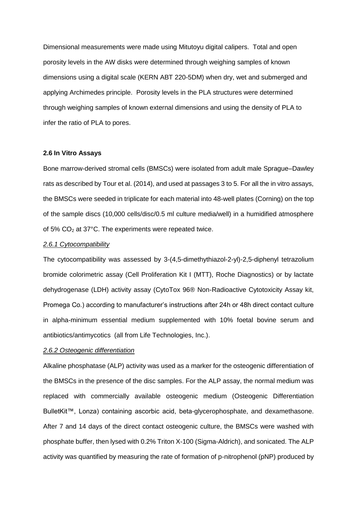Dimensional measurements were made using Mitutoyu digital calipers. Total and open porosity levels in the AW disks were determined through weighing samples of known dimensions using a digital scale (KERN ABT 220-5DM) when dry, wet and submerged and applying Archimedes principle. Porosity levels in the PLA structures were determined through weighing samples of known external dimensions and using the density of PLA to infer the ratio of PLA to pores.

#### **2.6 In Vitro Assays**

Bone marrow-derived stromal cells (BMSCs) were isolated from adult male Sprague–Dawley rats as described by Tour et al. (2014), and used at passages 3 to 5. For all the in vitro assays, the BMSCs were seeded in triplicate for each material into 48-well plates (Corning) on the top of the sample discs (10,000 cells/disc/0.5 ml culture media/well) in a humidified atmosphere of 5%  $CO<sub>2</sub>$  at 37°C. The experiments were repeated twice.

#### *2.6.1 Cytocompatibility*

The cytocompatibility was assessed by 3-(4,5-dimethythiazol-2-yl)-2,5-diphenyl tetrazolium bromide colorimetric assay (Cell Proliferation Kit I (MTT), Roche Diagnostics) or by lactate dehydrogenase (LDH) activity assay (CytoTox 96® Non-Radioactive Cytotoxicity Assay kit, Promega Co.) according to manufacturer's instructions after 24h or 48h direct contact culture in alpha-minimum essential medium supplemented with 10% foetal bovine serum and antibiotics/antimycotics (all from Life Technologies, Inc.).

# *2.6.2 Osteogenic differentiation*

Alkaline phosphatase (ALP) activity was used as a marker for the osteogenic differentiation of the BMSCs in the presence of the disc samples. For the ALP assay, the normal medium was replaced with commercially available osteogenic medium (Osteogenic Differentiation BulletKit™, Lonza) containing ascorbic acid, beta-glycerophosphate, and dexamethasone. After 7 and 14 days of the direct contact osteogenic culture, the BMSCs were washed with phosphate buffer, then lysed with 0.2% Triton X-100 (Sigma-Aldrich), and sonicated. The ALP activity was quantified by measuring the rate of formation of p-nitrophenol (pNP) produced by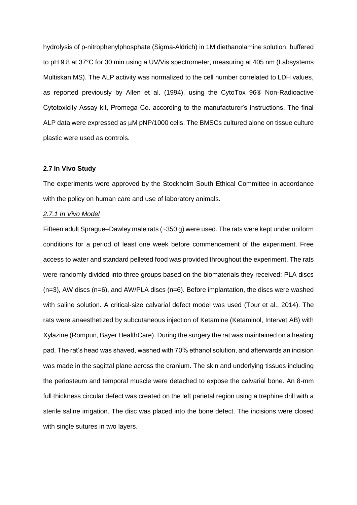hydrolysis of p-nitrophenylphosphate (Sigma-Aldrich) in 1M diethanolamine solution, buffered to pH 9.8 at 37°C for 30 min using a UV/Vis spectrometer, measuring at 405 nm (Labsystems Multiskan MS). The ALP activity was normalized to the cell number correlated to LDH values, as reported previously by Allen et al. (1994), using the CytoTox 96® Non-Radioactive Cytotoxicity Assay kit, Promega Co. according to the manufacturer's instructions. The final ALP data were expressed as  $\mu$ M pNP/1000 cells. The BMSCs cultured alone on tissue culture plastic were used as controls.

### **2.7 In Vivo Study**

The experiments were approved by the Stockholm South Ethical Committee in accordance with the policy on human care and use of laboratory animals.

### *2.7.1 In Vivo Model*

Fifteen adult Sprague–Dawley male rats (~350 g) were used. The rats were kept under uniform conditions for a period of least one week before commencement of the experiment. Free access to water and standard pelleted food was provided throughout the experiment. The rats were randomly divided into three groups based on the biomaterials they received: PLA discs (n=3), AW discs (n=6), and AW/PLA discs (n=6). Before implantation, the discs were washed with saline solution. A critical-size calvarial defect model was used (Tour et al., 2014). The rats were anaesthetized by subcutaneous injection of Ketamine (Ketaminol, Intervet AB) with Xylazine (Rompun, Bayer HealthCare). During the surgery the rat was maintained on a heating pad. The rat's head was shaved, washed with 70% ethanol solution, and afterwards an incision was made in the sagittal plane across the cranium. The skin and underlying tissues including the periosteum and temporal muscle were detached to expose the calvarial bone. An 8-mm full thickness circular defect was created on the left parietal region using a trephine drill with a sterile saline irrigation. The disc was placed into the bone defect. The incisions were closed with single sutures in two layers.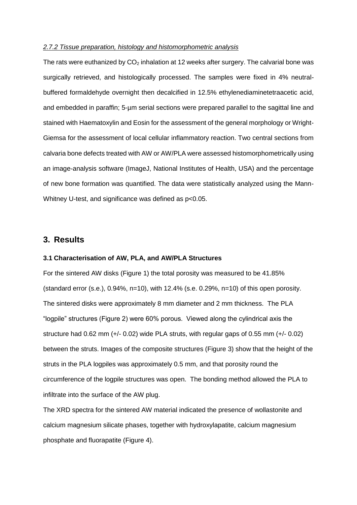### *2.7.2 Tissue preparation, histology and histomorphometric analysis*

The rats were euthanized by  $CO<sub>2</sub>$  inhalation at 12 weeks after surgery. The calvarial bone was surgically retrieved, and histologically processed. The samples were fixed in 4% neutralbuffered formaldehyde overnight then decalcified in 12.5% ethylenediaminetetraacetic acid, and embedded in paraffin; 5-µm serial sections were prepared parallel to the sagittal line and stained with Haematoxylin and Eosin for the assessment of the general morphology or Wright-Giemsa for the assessment of local cellular inflammatory reaction. Two central sections from calvaria bone defects treated with AW or AW/PLA were assessed histomorphometrically using an image-analysis software (ImageJ, National Institutes of Health, USA) and the percentage of new bone formation was quantified. The data were statistically analyzed using the Mann-Whitney U-test, and significance was defined as p<0.05.

# **3. Results**

#### **3.1 Characterisation of AW, PLA, and AW/PLA Structures**

For the sintered AW disks (Figure 1) the total porosity was measured to be 41.85% (standard error  $(s.e., 0.94\%, n=10)$ , with 12.4% (s.e. 0.29%, n=10) of this open porosity. The sintered disks were approximately 8 mm diameter and 2 mm thickness. The PLA "logpile" structures (Figure 2) were 60% porous. Viewed along the cylindrical axis the structure had 0.62 mm (+/- 0.02) wide PLA struts, with regular gaps of 0.55 mm (+/- 0.02) between the struts. Images of the composite structures (Figure 3) show that the height of the struts in the PLA logpiles was approximately 0.5 mm, and that porosity round the circumference of the logpile structures was open. The bonding method allowed the PLA to infiltrate into the surface of the AW plug.

The XRD spectra for the sintered AW material indicated the presence of wollastonite and calcium magnesium silicate phases, together with hydroxylapatite, calcium magnesium phosphate and fluorapatite (Figure 4).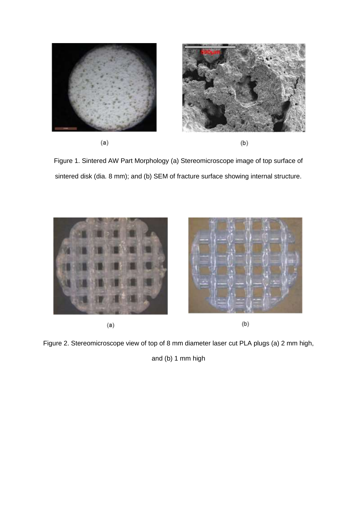

Figure 1. Sintered AW Part Morphology (a) Stereomicroscope image of top surface of sintered disk (dia. 8 mm); and (b) SEM of fracture surface showing internal structure.



 $(a)$ 

 $(b)$ 

Figure 2. Stereomicroscope view of top of 8 mm diameter laser cut PLA plugs (a) 2 mm high,

and (b) 1 mm high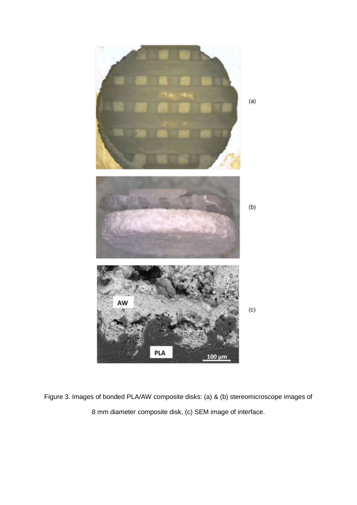

Figure 3. Images of bonded PLA/AW composite disks: (a) & (b) stereomicroscope images of 8 mm diameter composite disk, (c) SEM image of interface.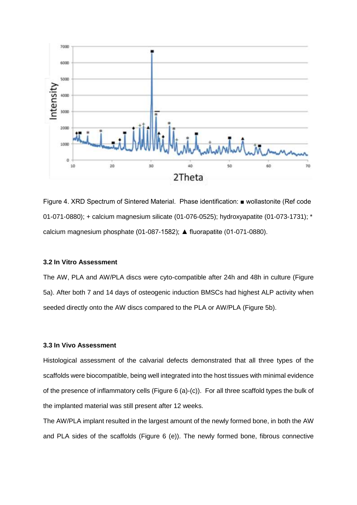

Figure 4. XRD Spectrum of Sintered Material. Phase identification: ■ wollastonite (Ref code 01-071-0880); + calcium magnesium silicate (01-076-0525); hydroxyapatite (01-073-1731); \* calcium magnesium phosphate (01-087-1582); ▲ fluorapatite (01-071-0880).

### **3.2 In Vitro Assessment**

The AW, PLA and AW/PLA discs were cyto-compatible after 24h and 48h in culture (Figure 5a). After both 7 and 14 days of osteogenic induction BMSCs had highest ALP activity when seeded directly onto the AW discs compared to the PLA or AW/PLA (Figure 5b).

### **3.3 In Vivo Assessment**

Histological assessment of the calvarial defects demonstrated that all three types of the scaffolds were biocompatible, being well integrated into the host tissues with minimal evidence of the presence of inflammatory cells (Figure 6 (a)-(c)). For all three scaffold types the bulk of the implanted material was still present after 12 weeks.

The AW/PLA implant resulted in the largest amount of the newly formed bone, in both the AW and PLA sides of the scaffolds (Figure 6 (e)). The newly formed bone, fibrous connective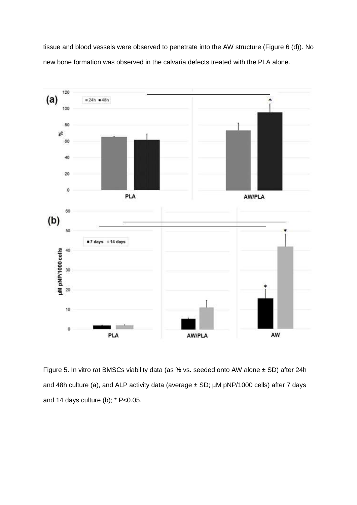tissue and blood vessels were observed to penetrate into the AW structure (Figure 6 (d)). No new bone formation was observed in the calvaria defects treated with the PLA alone.



Figure 5. In vitro rat BMSCs viability data (as % vs. seeded onto AW alone ± SD) after 24h and 48h culture (a), and ALP activity data (average  $\pm$  SD;  $\mu$ M pNP/1000 cells) after 7 days and 14 days culture (b);  $*$  P<0.05.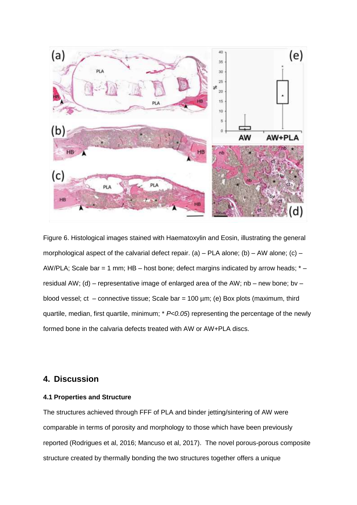

Figure 6. Histological images stained with Haematoxylin and Eosin, illustrating the general morphological aspect of the calvarial defect repair. (a) – PLA alone; (b) – AW alone; (c) – AW/PLA; Scale bar = 1 mm; HB – host bone; defect margins indicated by arrow heads;  $*$  – residual AW; (d) – representative image of enlarged area of the AW;  $nb$  – new bone; bv – blood vessel; ct – connective tissue; Scale bar =  $100 \mu m$ ; (e) Box plots (maximum, third quartile, median, first quartile, minimum; \* *P<0.05*) representing the percentage of the newly formed bone in the calvaria defects treated with AW or AW+PLA discs.

# **4. Discussion**

## **4.1 Properties and Structure**

The structures achieved through FFF of PLA and binder jetting/sintering of AW were comparable in terms of porosity and morphology to those which have been previously reported (Rodrigues et al, 2016; Mancuso et al, 2017). The novel porous-porous composite structure created by thermally bonding the two structures together offers a unique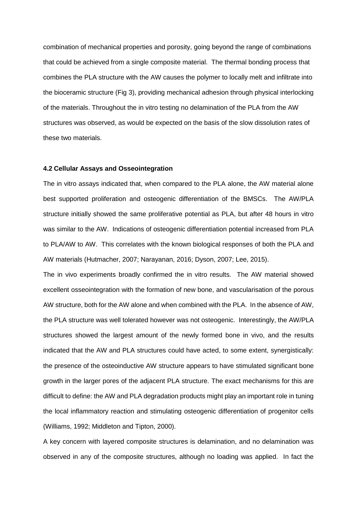combination of mechanical properties and porosity, going beyond the range of combinations that could be achieved from a single composite material. The thermal bonding process that combines the PLA structure with the AW causes the polymer to locally melt and infiltrate into the bioceramic structure (Fig 3), providing mechanical adhesion through physical interlocking of the materials. Throughout the in vitro testing no delamination of the PLA from the AW structures was observed, as would be expected on the basis of the slow dissolution rates of these two materials.

### **4.2 Cellular Assays and Osseointegration**

The in vitro assays indicated that, when compared to the PLA alone, the AW material alone best supported proliferation and osteogenic differentiation of the BMSCs. The AW/PLA structure initially showed the same proliferative potential as PLA, but after 48 hours in vitro was similar to the AW. Indications of osteogenic differentiation potential increased from PLA to PLA/AW to AW. This correlates with the known biological responses of both the PLA and AW materials (Hutmacher, 2007; Narayanan, 2016; Dyson, 2007; Lee, 2015).

The in vivo experiments broadly confirmed the in vitro results. The AW material showed excellent osseointegration with the formation of new bone, and vascularisation of the porous AW structure, both for the AW alone and when combined with the PLA. In the absence of AW, the PLA structure was well tolerated however was not osteogenic. Interestingly, the AW/PLA structures showed the largest amount of the newly formed bone in vivo, and the results indicated that the AW and PLA structures could have acted, to some extent, synergistically: the presence of the osteoinductive AW structure appears to have stimulated significant bone growth in the larger pores of the adjacent PLA structure. The exact mechanisms for this are difficult to define: the AW and PLA degradation products might play an important role in tuning the local inflammatory reaction and stimulating osteogenic differentiation of progenitor cells (Williams, 1992; Middleton and Tipton, 2000).

A key concern with layered composite structures is delamination, and no delamination was observed in any of the composite structures, although no loading was applied. In fact the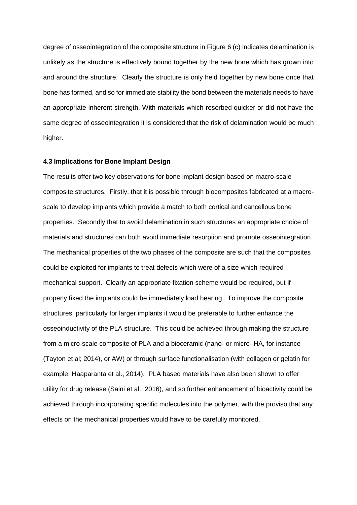degree of osseointegration of the composite structure in Figure 6 (c) indicates delamination is unlikely as the structure is effectively bound together by the new bone which has grown into and around the structure. Clearly the structure is only held together by new bone once that bone has formed, and so for immediate stability the bond between the materials needs to have an appropriate inherent strength. With materials which resorbed quicker or did not have the same degree of osseointegration it is considered that the risk of delamination would be much higher.

#### **4.3 Implications for Bone Implant Design**

The results offer two key observations for bone implant design based on macro-scale composite structures. Firstly, that it is possible through biocomposites fabricated at a macroscale to develop implants which provide a match to both cortical and cancellous bone properties. Secondly that to avoid delamination in such structures an appropriate choice of materials and structures can both avoid immediate resorption and promote osseointegration. The mechanical properties of the two phases of the composite are such that the composites could be exploited for implants to treat defects which were of a size which required mechanical support. Clearly an appropriate fixation scheme would be required, but if properly fixed the implants could be immediately load bearing. To improve the composite structures, particularly for larger implants it would be preferable to further enhance the osseoinductivity of the PLA structure. This could be achieved through making the structure from a micro-scale composite of PLA and a bioceramic (nano- or micro- HA, for instance (Tayton et al; 2014), or AW) or through surface functionalisation (with collagen or gelatin for example; Haaparanta et al., 2014). PLA based materials have also been shown to offer utility for drug release (Saini et al., 2016), and so further enhancement of bioactivity could be achieved through incorporating specific molecules into the polymer, with the proviso that any effects on the mechanical properties would have to be carefully monitored.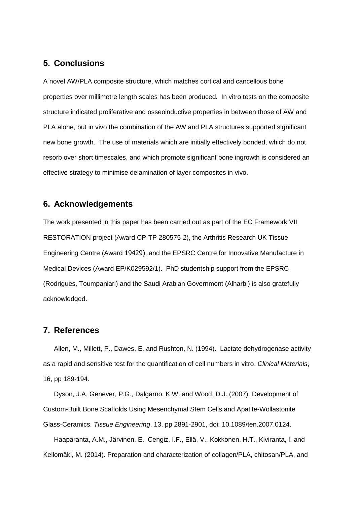# **5. Conclusions**

A novel AW/PLA composite structure, which matches cortical and cancellous bone properties over millimetre length scales has been produced. In vitro tests on the composite structure indicated proliferative and osseoinductive properties in between those of AW and PLA alone, but in vivo the combination of the AW and PLA structures supported significant new bone growth. The use of materials which are initially effectively bonded, which do not resorb over short timescales, and which promote significant bone ingrowth is considered an effective strategy to minimise delamination of layer composites in vivo.

# **6. Acknowledgements**

The work presented in this paper has been carried out as part of the EC Framework VII RESTORATION project (Award CP-TP 280575-2), the Arthritis Research UK Tissue Engineering Centre (Award 19429), and the EPSRC Centre for Innovative Manufacture in Medical Devices (Award EP/K029592/1). PhD studentship support from the EPSRC (Rodrigues, Toumpaniari) and the Saudi Arabian Government (Alharbi) is also gratefully acknowledged.

# **7. References**

Allen, M., Millett, P., Dawes, E. and Rushton, N. (1994). Lactate dehydrogenase activity as a rapid and sensitive test for the quantification of cell numbers in vitro. *Clinical Materials*, 16, pp 189-194.

Dyson, J.A, Genever, P.G., Dalgarno, K.W. and Wood, D.J. (2007). Development of Custom-Built Bone Scaffolds Using Mesenchymal Stem Cells and Apatite-Wollastonite Glass-Ceramics. *Tissue Engineering*, 13, pp 2891-2901, doi: 10.1089/ten.2007.0124.

Haaparanta, A.M., Järvinen, E., Cengiz, I.F., Ellä, V., Kokkonen, H.T., Kiviranta, I. and Kellomäki, M. (2014). Preparation and characterization of collagen/PLA, chitosan/PLA, and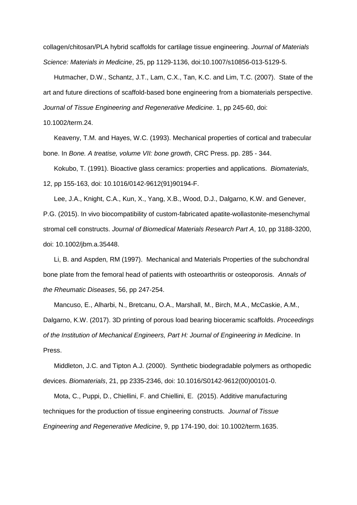collagen/chitosan/PLA hybrid scaffolds for cartilage tissue engineering. *Journal of Materials Science: Materials in Medicine*, 25, pp 1129-1136, doi:10.1007/s10856-013-5129-5.

Hutmacher, D.W., Schantz, J.T., Lam, C.X., Tan, K.C. and Lim, T.C. (2007). State of the art and future directions of scaffold-based bone engineering from a biomaterials perspective. *Journal of Tissue Engineering and Regenerative Medicine*. 1, pp 245-60, doi:

10.1002/term.24.

Keaveny, T.M. and Hayes, W.C. (1993). Mechanical properties of cortical and trabecular bone. In *Bone. A treatise, volume VII: bone growth*, CRC Press. pp. 285 - 344.

Kokubo, T. (1991). Bioactive glass ceramics: properties and applications. *Biomaterials*, 12, pp 155-163, doi: 10.1016/0142-9612(91)90194-F.

Lee, J.A., Knight, C.A., Kun, X., Yang, X.B., Wood, D.J., Dalgarno, K.W. and Genever, P.G. (2015). In vivo biocompatibility of custom-fabricated apatite-wollastonite-mesenchymal stromal cell constructs. *Journal of Biomedical Materials Research Part A*, 10, pp 3188-3200, doi: 10.1002/jbm.a.35448.

Li, B. and Aspden, RM (1997). Mechanical and Materials Properties of the subchondral bone plate from the femoral head of patients with osteoarthritis or osteoporosis. *Annals of the Rheumatic Diseases*, 56, pp 247-254.

Mancuso, E., Alharbi, N., Bretcanu, O.A., Marshall, M., Birch, M.A., McCaskie, A.M.,

Dalgarno, K.W. (2017). 3D printing of porous load bearing bioceramic scaffolds. *Proceedings of the Institution of Mechanical Engineers, Part H: Journal of Engineering in Medicine*. In Press.

Middleton, J.C. and Tipton A.J. (2000). Synthetic biodegradable polymers as orthopedic devices. *Biomaterials*, 21, pp 2335-2346, doi: 10.1016/S0142-9612(00)00101-0.

Mota, C., Puppi, D., Chiellini, F. and Chiellini, E. (2015). Additive manufacturing techniques for the production of tissue engineering constructs. *Journal of Tissue Engineering and Regenerative Medicine*, 9, pp 174-190, doi: 10.1002/term.1635.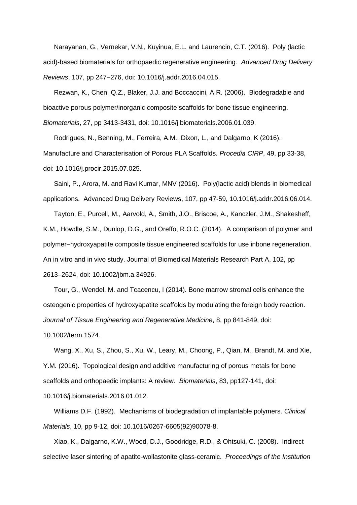Narayanan, G., Vernekar, V.N., Kuyinua, E.L. and Laurencin, C.T. (2016). Poly (lactic acid)-based biomaterials for orthopaedic regenerative engineering. *Advanced Drug Delivery Reviews*, 107, pp 247–276, doi: 10.1016/j.addr.2016.04.015.

Rezwan, K., Chen, Q.Z., Blaker, J.J. and Boccaccini, A.R. (2006). Biodegradable and bioactive porous polymer/inorganic composite scaffolds for bone tissue engineering. *Biomaterials*, 27, pp 3413-3431, doi: 10.1016/j.biomaterials.2006.01.039.

Rodrigues, N., Benning, M., Ferreira, A.M., Dixon, L., and Dalgarno, K (2016). Manufacture and Characterisation of Porous PLA Scaffolds. *Procedia CIRP*, 49, pp 33-38, doi: 10.1016/j.procir.2015.07.025.

Saini, P., Arora, M. and Ravi Kumar, MNV (2016). Poly(lactic acid) blends in biomedical applications. Advanced Drug Delivery Reviews, 107, pp 47-59, 10.1016/j.addr.2016.06.014.

Tayton, E., Purcell, M., Aarvold, A., Smith, J.O., Briscoe, A., Kanczler, J.M., Shakesheff, K.M., Howdle, S.M., Dunlop, D.G., and Oreffo, R.O.C. (2014). A comparison of polymer and polymer–hydroxyapatite composite tissue engineered scaffolds for use inbone regeneration. An in vitro and in vivo study. Journal of Biomedical Materials Research Part A, 102, pp 2613–2624, doi: 10.1002/jbm.a.34926.

Tour, G., Wendel, M. and Tcacencu, I (2014). Bone marrow stromal cells enhance the osteogenic properties of hydroxyapatite scaffolds by modulating the foreign body reaction. *Journal of Tissue Engineering and Regenerative Medicine*, 8, pp 841-849, doi:

10.1002/term.1574.

Wang, X., Xu, S., Zhou, S., Xu, W., Leary, M., Choong, P., Qian, M., Brandt, M. and Xie, Y.M. (2016). Topological design and additive manufacturing of porous metals for bone scaffolds and orthopaedic implants: A review. *Biomaterials*, 83, pp127-141, doi: 10.1016/j.biomaterials.2016.01.012.

Williams D.F. (1992). Mechanisms of biodegradation of implantable polymers. *Clinical Materials*, 10, pp 9-12, doi: 10.1016/0267-6605(92)90078-8.

Xiao, K., Dalgarno, K.W., Wood, D.J., Goodridge, R.D., & Ohtsuki, C. (2008). Indirect selective laser sintering of apatite-wollastonite glass-ceramic. *Proceedings of the Institution*